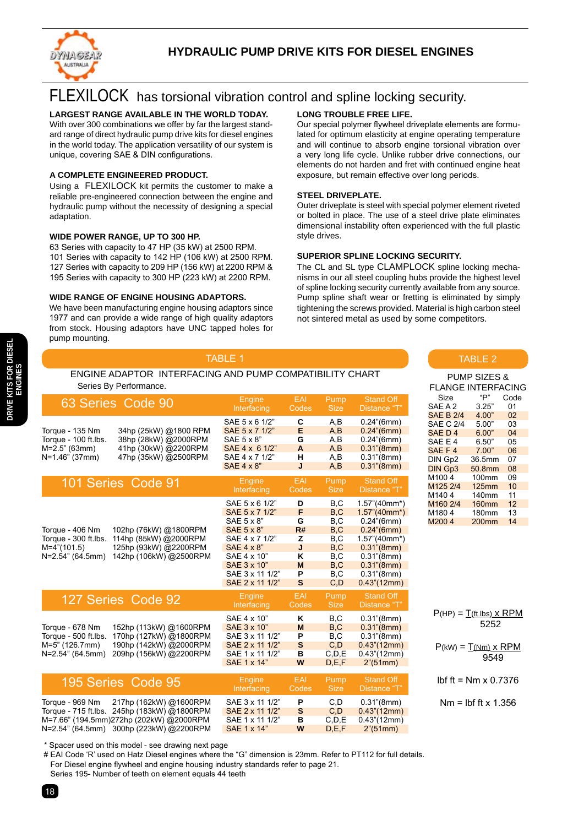

# FLEXILOCK has torsional vibration control and spline locking security.

## **LARGEST RANGE AVAILABLE IN THE WORLD TODAY.**

With over 300 combinations we offer by far the largest standard range of direct hydraulic pump drive kits for diesel engines in the world today. The application versatility of our system is unique, covering SAE & DIN configurations.

## **A COMPLETE ENGINEERED PRODUCT.**

Using a FLEXILOCK kit permits the customer to make a reliable pre-engineered connection between the engine and hydraulic pump without the necessity of designing a special adaptation.

### **WIDE POWER RANGE, UP TO 300 HP.**

63 Series with capacity to 47 HP (35 kW) at 2500 RPM. 101 Series with capacity to 142 HP (106 kW) at 2500 RPM. 127 Series with capacity to 209 HP (156 kW) at 2200 RPM & 195 Series with capacity to 300 HP (223 kW) at 2200 RPM.

### **WIDE RANGE OF ENGINE HOUSING ADAPTORS.**

We have been manufacturing engine housing adaptors since 1977 and can provide a wide range of high quality adaptors from stock. Housing adaptors have UNC tapped holes for pump mounting.

## **LONG TROUBLE FREE LIFE.**

Our special polymer flywheel driveplate elements are formulated for optimum elasticity at engine operating temperature and will continue to absorb engine torsional vibration over a very long life cycle. Unlike rubber drive connections, our elements do not harden and fret with continued engine heat exposure, but remain effective over long periods.

### **STEEL DRIVEPLATE.**

Outer driveplate is steel with special polymer element riveted or bolted in place. The use of a steel drive plate eliminates dimensional instability often experienced with the full plastic style drives.

### **SUPERIOR SPLINE LOCKING SECURITY.**

The CL and SL type CLAMPLOCK spline locking mechanisms in our all steel coupling hubs provide the highest level of spline locking security currently available from any source. Pump spline shaft wear or fretting is eliminated by simply tightening the screws provided. Material is high carbon steel not sintered metal as used by some competitors.

## ENGINE ADAPTOR INTERFACING AND PUMP COMPATIBILITY CHART Series By Performance.

TABLE 1

| 63 Series Code 90                                                                                                                                                                     | Engine<br>Interfacing                                                                                                                                            | <b>EAI</b><br>Codes                                        | Pump<br><b>Size</b>                                                   | <b>Stand Off</b><br>Distance "T"                                                                                                                                              |  |  |
|---------------------------------------------------------------------------------------------------------------------------------------------------------------------------------------|------------------------------------------------------------------------------------------------------------------------------------------------------------------|------------------------------------------------------------|-----------------------------------------------------------------------|-------------------------------------------------------------------------------------------------------------------------------------------------------------------------------|--|--|
| 34hp (25kW) @1800 RPM<br>Torque - 135 Nm<br>38hp (28kW) @2000RPM<br>Torque - 100 ft.lbs.<br>M=2.5" (63mm)<br>41hp (30kW) @2200RPM<br>N=1.46" (37mm)<br>47hp (35kW) @2500RPM           | SAE 5 x 6 1/2"<br>SAE 5 x 7 1/2"<br>SAE 5 x 8"<br>SAE 4 x 6 1/2"<br>SAE 4 x 7 1/2"<br><b>SAE 4 x 8"</b>                                                          | С<br>E<br>G<br>A<br>н<br>J                                 | A,B<br>A,B<br>A,B<br>A,B<br>A,B<br>A,B                                | $0.24^{\circ}$ (6mm)<br>$0.24$ "(6mm)<br>$0.24$ "(6mm)<br>$0.31$ "(8mm)<br>$0.31$ "(8mm)<br>$0.31$ "(8mm)                                                                     |  |  |
| 101 Series Code 91                                                                                                                                                                    | Engine<br>Interfacing                                                                                                                                            | EAI<br>Codes                                               | Pump<br><b>Size</b>                                                   | <b>Stand Off</b><br>Distance "T"                                                                                                                                              |  |  |
| Torque - 406 Nm<br>102hp (76kW) @1800RPM<br>114hp (85kW) @2000RPM<br>Torque - 300 ft lbs.<br>125hp (93kW) @2200RPM<br>$M=4" (101.5)$<br>142hp (106kW) @2500RPM<br>N=2.54" (64.5mm)    | SAE 5 x 6 1/2"<br>SAE 5 x 7 1/2"<br>SAE 5 x 8"<br>SAE 5 x 8"<br>SAE 4 x 7 1/2"<br>SAE 4 x 8"<br>SAE 4 x 10"<br>SAE 3 x 10"<br>SAE 3 x 11 1/2"<br>SAE 2 x 11 1/2" | D<br>F<br>G<br>R#<br>z<br>J<br>ĸ<br>M<br>P<br>$\mathbf{s}$ | B,C<br>B, C<br>B,C<br>B,C<br>B,C<br>B, C<br>B,C<br>B,C<br>B,C<br>C, D | $1.57$ "(40mm*)<br>$1.57$ "(40mm*)<br>$0.24$ "(6mm)<br>$0.24$ "(6mm)<br>$1.57$ "(40mm*)<br>$0.31$ "(8mm)<br>$0.31$ "(8mm)<br>$0.31$ "(8mm)<br>$0.31$ "(8mm)<br>$0.43$ "(12mm) |  |  |
| 127 Series Code 92                                                                                                                                                                    | Engine<br>Interfacing                                                                                                                                            | EAI<br>Codes                                               | Pump<br><b>Size</b>                                                   | <b>Stand Off</b><br>Distance "T"                                                                                                                                              |  |  |
| Torque - 678 Nm<br>152hp (113kW) @1600RPM<br>170hp (127kW) @1800RPM<br>Torque - 500 ft.lbs.<br>190hp (142kW) @2000RPM<br>M=5" (126.7mm)<br>N=2.54" (64.5mm)<br>209hp (156kW) @2200RPM | SAE 4 x 10"<br>SAE 3 x 10"<br>SAE 3 x 11 1/2"<br>SAE 2 x 11 1/2"<br>SAE 1 x 11 1/2"<br>SAE 1 x 14"                                                               | Κ<br>M<br>P<br>S<br>в<br>W                                 | B,C<br>B,C<br>B.C<br>C, D<br>C.D.E<br>D.E.F                           | $0.31$ "(8mm)<br>$0.31$ "(8mm)<br>$0.31$ "(8mm)<br>0.43''(12mm)<br>0.43''(12mm)<br>$2^{\prime\prime}(51mm)$                                                                   |  |  |
| 195 Series Code 95                                                                                                                                                                    | Engine<br>Interfacing                                                                                                                                            | EAI<br>Codes                                               | Pump<br><b>Size</b>                                                   | <b>Stand Off</b><br>Distance "T"                                                                                                                                              |  |  |
| Torque - 969 Nm<br>217hp (162kW) @1600RPM<br>Torque - 715 ft.lbs. 245hp (183kW) @1800RPM<br>M=7.66" (194.5mm)272hp (202kW) @2000RPM<br>N=2.54" (64.5mm) 300hp (223kW) @2200RPM        | SAE 3 x 11 1/2"<br>SAE 2 x 11 1/2"<br>SAE 1 x 11 1/2"<br>SAE 1 x 14"                                                                                             | P<br>$\mathbf{s}$<br>в<br>W                                | C, D<br>C, D<br>C, D, E<br>D, E, F                                    | $0.31$ "(8mm)<br>0.43''(12mm)<br>$0.43$ "(12mm)<br>$2^{\prime\prime}(51mm)$                                                                                                   |  |  |

## TABLE 2

| PUMP SIZES &      |                           |  |  |  |  |
|-------------------|---------------------------|--|--|--|--|
|                   |                           |  |  |  |  |
| "Р"               | Code                      |  |  |  |  |
| 3.25"             | 01                        |  |  |  |  |
| 4.00"             | 02                        |  |  |  |  |
| 5.00"             | 03                        |  |  |  |  |
| 6.00"             | 04                        |  |  |  |  |
| 6.50"             | 05                        |  |  |  |  |
| 7.00"             | 06                        |  |  |  |  |
| 36.5mm            | 07                        |  |  |  |  |
| 50.8mm            | 08                        |  |  |  |  |
| 100mm             | 09                        |  |  |  |  |
| <b>125mm</b>      | 10                        |  |  |  |  |
| <b>140mm</b>      | 11                        |  |  |  |  |
| <b>160mm</b>      | 12                        |  |  |  |  |
| <b>180mm</b>      | 13                        |  |  |  |  |
| 200 <sub>mm</sub> | 14                        |  |  |  |  |
|                   | <b>FLANGE INTERFACING</b> |  |  |  |  |

#### $P(HP) = T(ft|bs) \times RPM$ 5252

 $P$ (kW) =  $T$ (Nm) x RPM 9549

## lbf ft =  $Nm \times 0.7376$

 $Nm = lbf ft x 1.356$ 

\* Spacer used on this model - see drawing next page

 # EAI Code 'R' used on Hatz Diesel engines where the "G" dimension is 23mm. Refer to PT112 for full details. For Diesel engine flywheel and engine housing industry standards refer to page 21. Series 195- Number of teeth on element equals 44 teeth